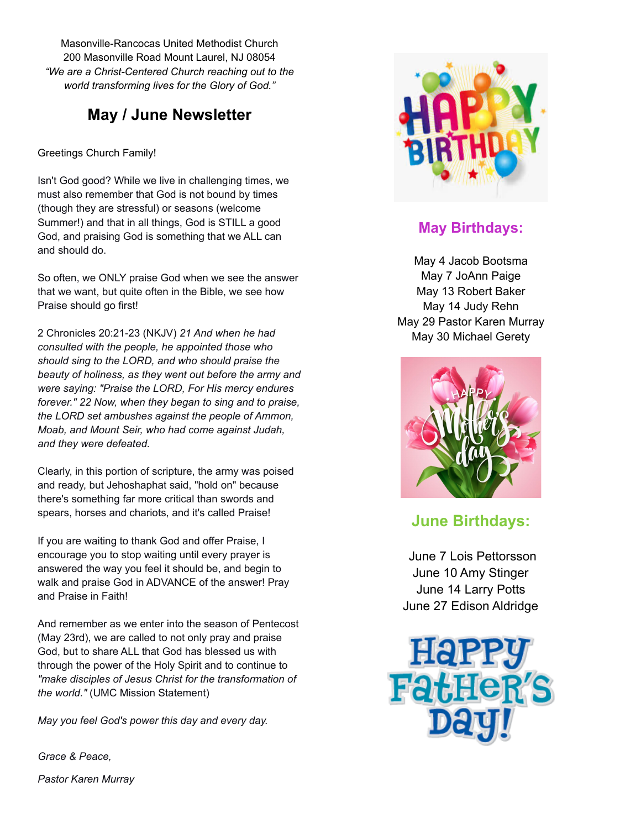Masonville-Rancocas United Methodist Church 200 Masonville Road Mount Laurel, NJ 08054 *"We are a Christ-Centered Church reaching out to the world transforming lives for the Glory of God."*

### **May / June Newsletter**

Greetings Church Family!

Isn't God good? While we live in challenging times, we must also remember that God is not bound by times (though they are stressful) or seasons (welcome Summer!) and that in all things, God is STILL a good God, and praising God is something that we ALL can and should do.

So often, we ONLY praise God when we see the answer that we want, but quite often in the Bible, we see how Praise should go first!

2 Chronicles 20:21-23 (NKJV) *21 And when he had consulted with the people, he appointed those who should sing to the LORD, and who should praise the beauty of holiness, as they went out before the army and were saying: "Praise the LORD, For His mercy endures forever." 22 Now, when they began to sing and to praise, the LORD set ambushes against the people of Ammon, Moab, and Mount Seir, who had come against Judah, and they were defeated.*

Clearly, in this portion of scripture, the army was poised and ready, but Jehoshaphat said, "hold on" because there's something far more critical than swords and spears, horses and chariots, and it's called Praise!

If you are waiting to thank God and offer Praise, I encourage you to stop waiting until every prayer is answered the way you feel it should be, and begin to walk and praise God in ADVANCE of the answer! Pray and Praise in Faith!

And remember as we enter into the season of Pentecost (May 23rd), we are called to not only pray and praise God, but to share ALL that God has blessed us with through the power of the Holy Spirit and to continue to *"make disciples of Jesus Christ for the transformation of the world."* (UMC Mission Statement)

*May you feel God's power this day and every day.*

*Grace & Peace, Pastor Karen Murray*



#### **May Birthdays:**

May 4 Jacob Bootsma May 7 JoAnn Paige May 13 Robert Baker May 14 Judy Rehn May 29 Pastor Karen Murray May 30 Michael Gerety



#### **June Birthdays:**

June 7 Lois Pettorsson June 10 Amy Stinger June 14 Larry Potts June 27 Edison Aldridge